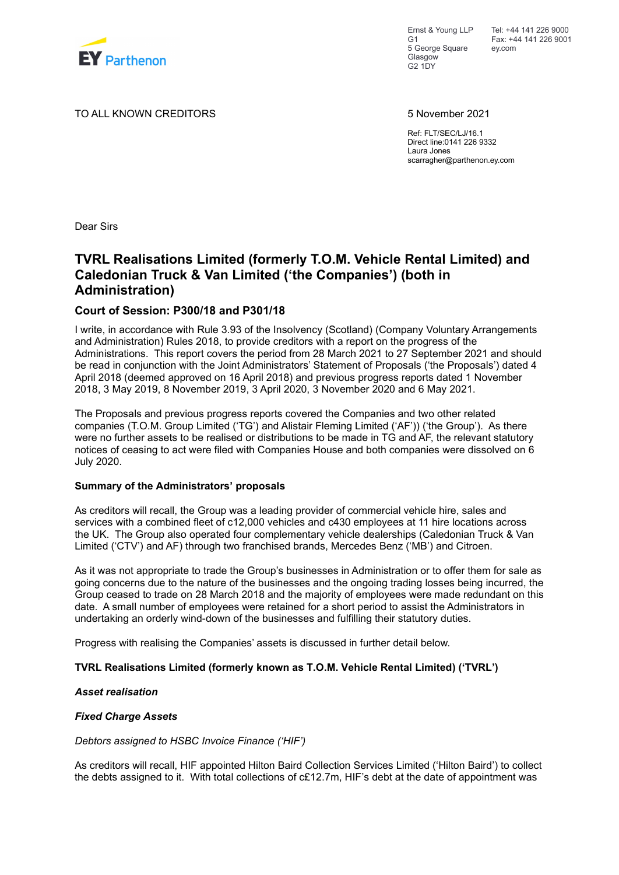

Ernst & Young LLP  $G<sub>1</sub>$ 5 George Square Glasgow G2 1DY

Tel: +44 141 226 9000 Fax: +44 141 226 9001 ey.com

TO ALL KNOWN CREDITORS 5 November 2021

Ref: FLT/SEC/LJ/16.1 Direct line:0141 226 9332 Laura Jones scarragher@parthenon.ey.com

Dear Sirs

## **TVRL Realisations Limited (formerly T.O.M. Vehicle Rental Limited) and Caledonian Truck & Van Limited ('the Companies') (both in Administration)**

### **Court of Session: P300/18 and P301/18**

I write, in accordance with Rule 3.93 of the Insolvency (Scotland) (Company Voluntary Arrangements and Administration) Rules 2018, to provide creditors with a report on the progress of the Administrations. This report covers the period from 28 March 2021 to 27 September 2021 and should be read in conjunction with the Joint Administrators' Statement of Proposals ('the Proposals') dated 4 April 2018 (deemed approved on 16 April 2018) and previous progress reports dated 1 November 2018, 3 May 2019, 8 November 2019, 3 April 2020, 3 November 2020 and 6 May 2021.

The Proposals and previous progress reports covered the Companies and two other related companies (T.O.M. Group Limited ('TG') and Alistair Fleming Limited ('AF')) ('the Group'). As there were no further assets to be realised or distributions to be made in TG and AF, the relevant statutory notices of ceasing to act were filed with Companies House and both companies were dissolved on 6 July 2020.

### **Summary of the Administrators' proposals**

As creditors will recall, the Group was a leading provider of commercial vehicle hire, sales and services with a combined fleet of c12,000 vehicles and c430 employees at 11 hire locations across the UK. The Group also operated four complementary vehicle dealerships (Caledonian Truck & Van Limited ('CTV') and AF) through two franchised brands, Mercedes Benz ('MB') and Citroen.

As it was not appropriate to trade the Group's businesses in Administration or to offer them for sale as going concerns due to the nature of the businesses and the ongoing trading losses being incurred, the Group ceased to trade on 28 March 2018 and the majority of employees were made redundant on this date. A small number of employees were retained for a short period to assist the Administrators in undertaking an orderly wind-down of the businesses and fulfilling their statutory duties.

Progress with realising the Companies' assets is discussed in further detail below.

### **TVRL Realisations Limited (formerly known as T.O.M. Vehicle Rental Limited) ('TVRL')**

### *Asset realisation*

### *Fixed Charge Assets*

### *Debtors assigned to HSBC Invoice Finance ('HIF')*

As creditors will recall, HIF appointed Hilton Baird Collection Services Limited ('Hilton Baird') to collect the debts assigned to it. With total collections of c£12.7m, HIF's debt at the date of appointment was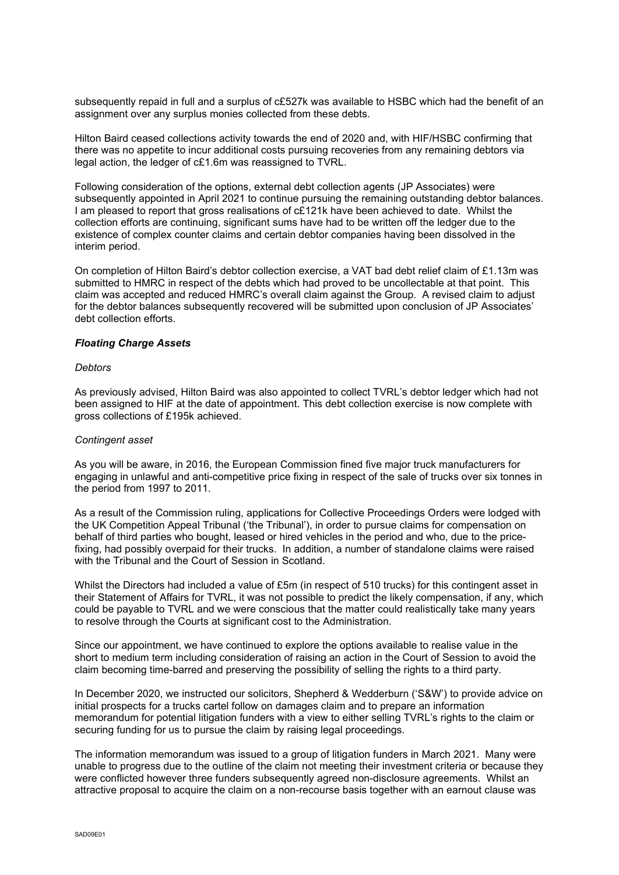subsequently repaid in full and a surplus of c£527k was available to HSBC which had the benefit of an assignment over any surplus monies collected from these debts.

Hilton Baird ceased collections activity towards the end of 2020 and, with HIF/HSBC confirming that there was no appetite to incur additional costs pursuing recoveries from any remaining debtors via legal action, the ledger of c£1.6m was reassigned to TVRL.

Following consideration of the options, external debt collection agents (JP Associates) were subsequently appointed in April 2021 to continue pursuing the remaining outstanding debtor balances. I am pleased to report that gross realisations of c£121k have been achieved to date. Whilst the collection efforts are continuing, significant sums have had to be written off the ledger due to the existence of complex counter claims and certain debtor companies having been dissolved in the interim period.

On completion of Hilton Baird's debtor collection exercise, a VAT bad debt relief claim of £1.13m was submitted to HMRC in respect of the debts which had proved to be uncollectable at that point. This claim was accepted and reduced HMRC's overall claim against the Group. A revised claim to adjust for the debtor balances subsequently recovered will be submitted upon conclusion of JP Associates' debt collection efforts.

### *Floating Charge Assets*

### *Debtors*

As previously advised, Hilton Baird was also appointed to collect TVRL's debtor ledger which had not been assigned to HIF at the date of appointment. This debt collection exercise is now complete with gross collections of £195k achieved.

### *Contingent asset*

As you will be aware, in 2016, the European Commission fined five major truck manufacturers for engaging in unlawful and anti-competitive price fixing in respect of the sale of trucks over six tonnes in the period from 1997 to 2011.

As a result of the Commission ruling, applications for Collective Proceedings Orders were lodged with the UK Competition Appeal Tribunal ('the Tribunal'), in order to pursue claims for compensation on behalf of third parties who bought, leased or hired vehicles in the period and who, due to the pricefixing, had possibly overpaid for their trucks. In addition, a number of standalone claims were raised with the Tribunal and the Court of Session in Scotland.

Whilst the Directors had included a value of £5m (in respect of 510 trucks) for this contingent asset in their Statement of Affairs for TVRL, it was not possible to predict the likely compensation, if any, which could be payable to TVRL and we were conscious that the matter could realistically take many years to resolve through the Courts at significant cost to the Administration.

Since our appointment, we have continued to explore the options available to realise value in the short to medium term including consideration of raising an action in the Court of Session to avoid the claim becoming time-barred and preserving the possibility of selling the rights to a third party.

In December 2020, we instructed our solicitors, Shepherd & Wedderburn ('S&W') to provide advice on initial prospects for a trucks cartel follow on damages claim and to prepare an information memorandum for potential litigation funders with a view to either selling TVRL's rights to the claim or securing funding for us to pursue the claim by raising legal proceedings.

The information memorandum was issued to a group of litigation funders in March 2021. Many were unable to progress due to the outline of the claim not meeting their investment criteria or because they were conflicted however three funders subsequently agreed non-disclosure agreements. Whilst an attractive proposal to acquire the claim on a non-recourse basis together with an earnout clause was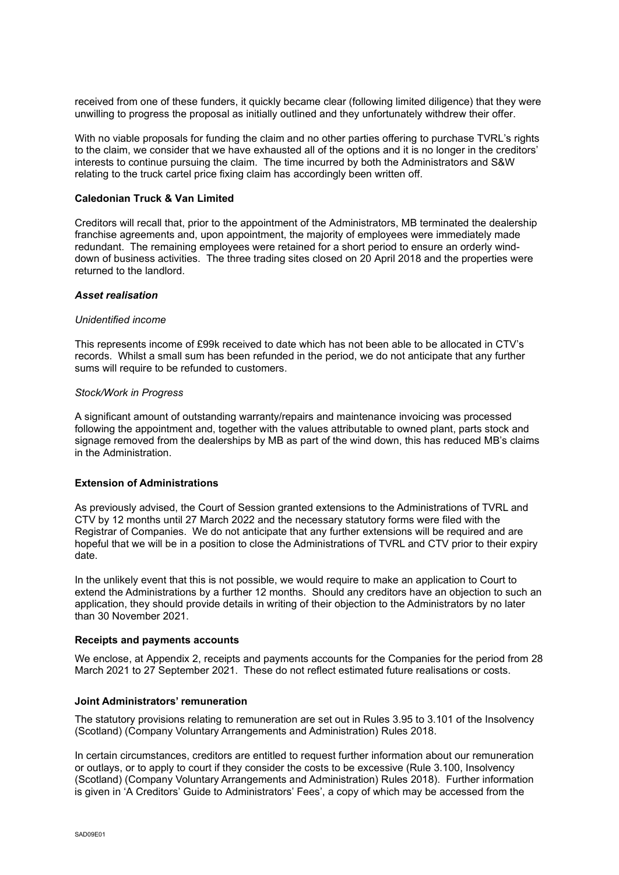received from one of these funders, it quickly became clear (following limited diligence) that they were unwilling to progress the proposal as initially outlined and they unfortunately withdrew their offer.

With no viable proposals for funding the claim and no other parties offering to purchase TVRL's rights to the claim, we consider that we have exhausted all of the options and it is no longer in the creditors' interests to continue pursuing the claim. The time incurred by both the Administrators and S&W relating to the truck cartel price fixing claim has accordingly been written off.

### **Caledonian Truck & Van Limited**

Creditors will recall that, prior to the appointment of the Administrators, MB terminated the dealership franchise agreements and, upon appointment, the majority of employees were immediately made redundant. The remaining employees were retained for a short period to ensure an orderly winddown of business activities. The three trading sites closed on 20 April 2018 and the properties were returned to the landlord.

### *Asset realisation*

### *Unidentified income*

This represents income of £99k received to date which has not been able to be allocated in CTV's records. Whilst a small sum has been refunded in the period, we do not anticipate that any further sums will require to be refunded to customers.

### *Stock/Work in Progress*

A significant amount of outstanding warranty/repairs and maintenance invoicing was processed following the appointment and, together with the values attributable to owned plant, parts stock and signage removed from the dealerships by MB as part of the wind down, this has reduced MB's claims in the Administration.

### **Extension of Administrations**

As previously advised, the Court of Session granted extensions to the Administrations of TVRL and CTV by 12 months until 27 March 2022 and the necessary statutory forms were filed with the Registrar of Companies. We do not anticipate that any further extensions will be required and are hopeful that we will be in a position to close the Administrations of TVRL and CTV prior to their expiry date.

In the unlikely event that this is not possible, we would require to make an application to Court to extend the Administrations by a further 12 months. Should any creditors have an objection to such an application, they should provide details in writing of their objection to the Administrators by no later than 30 November 2021.

### **Receipts and payments accounts**

We enclose, at Appendix 2, receipts and payments accounts for the Companies for the period from 28 March 2021 to 27 September 2021. These do not reflect estimated future realisations or costs.

### **Joint Administrators' remuneration**

The statutory provisions relating to remuneration are set out in Rules 3.95 to 3.101 of the Insolvency (Scotland) (Company Voluntary Arrangements and Administration) Rules 2018.

In certain circumstances, creditors are entitled to request further information about our remuneration or outlays, or to apply to court if they consider the costs to be excessive (Rule 3.100, Insolvency (Scotland) (Company Voluntary Arrangements and Administration) Rules 2018). Further information is given in 'A Creditors' Guide to Administrators' Fees', a copy of which may be accessed from the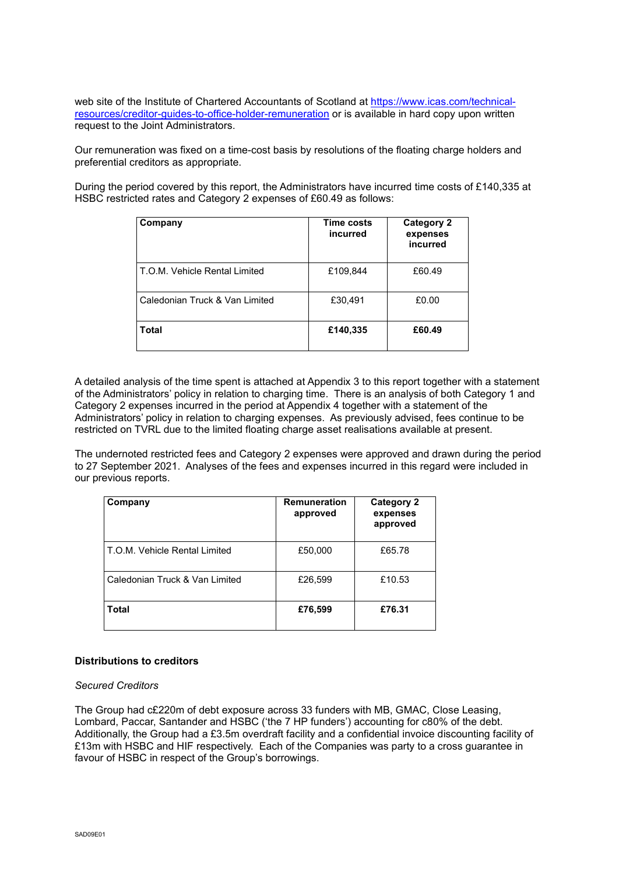web site of the Institute of Chartered Accountants of Scotland at [https://www.icas.com/technical](https://www.icas.com/technical-resources/creditor-guides-to-office-holder-remuneration)[resources/creditor-guides-to-office-holder-remuneration](https://www.icas.com/technical-resources/creditor-guides-to-office-holder-remuneration) or is available in hard copy upon written request to the Joint Administrators.

Our remuneration was fixed on a time-cost basis by resolutions of the floating charge holders and preferential creditors as appropriate.

During the period covered by this report, the Administrators have incurred time costs of £140,335 at HSBC restricted rates and Category 2 expenses of £60.49 as follows:

| Company                        | Time costs<br>incurred | <b>Category 2</b><br>expenses<br>incurred |
|--------------------------------|------------------------|-------------------------------------------|
| T.O.M. Vehicle Rental Limited  | £109,844               | £60.49                                    |
| Caledonian Truck & Van Limited | £30,491                | £0.00                                     |
| <b>Total</b>                   | £140,335               | £60.49                                    |

A detailed analysis of the time spent is attached at Appendix 3 to this report together with a statement of the Administrators' policy in relation to charging time. There is an analysis of both Category 1 and Category 2 expenses incurred in the period at Appendix 4 together with a statement of the Administrators' policy in relation to charging expenses. As previously advised, fees continue to be restricted on TVRL due to the limited floating charge asset realisations available at present.

The undernoted restricted fees and Category 2 expenses were approved and drawn during the period to 27 September 2021. Analyses of the fees and expenses incurred in this regard were included in our previous reports.

| Company                        | <b>Remuneration</b><br>approved | Category 2<br>expenses<br>approved |
|--------------------------------|---------------------------------|------------------------------------|
| T.O.M. Vehicle Rental Limited  | £50,000                         | £65.78                             |
| Caledonian Truck & Van Limited | £26,599                         | £10.53                             |
| <b>Total</b>                   | £76,599                         | £76.31                             |

### **Distributions to creditors**

### *Secured Creditors*

The Group had c£220m of debt exposure across 33 funders with MB, GMAC, Close Leasing, Lombard, Paccar, Santander and HSBC ('the 7 HP funders') accounting for c80% of the debt. Additionally, the Group had a £3.5m overdraft facility and a confidential invoice discounting facility of £13m with HSBC and HIF respectively. Each of the Companies was party to a cross guarantee in favour of HSBC in respect of the Group's borrowings.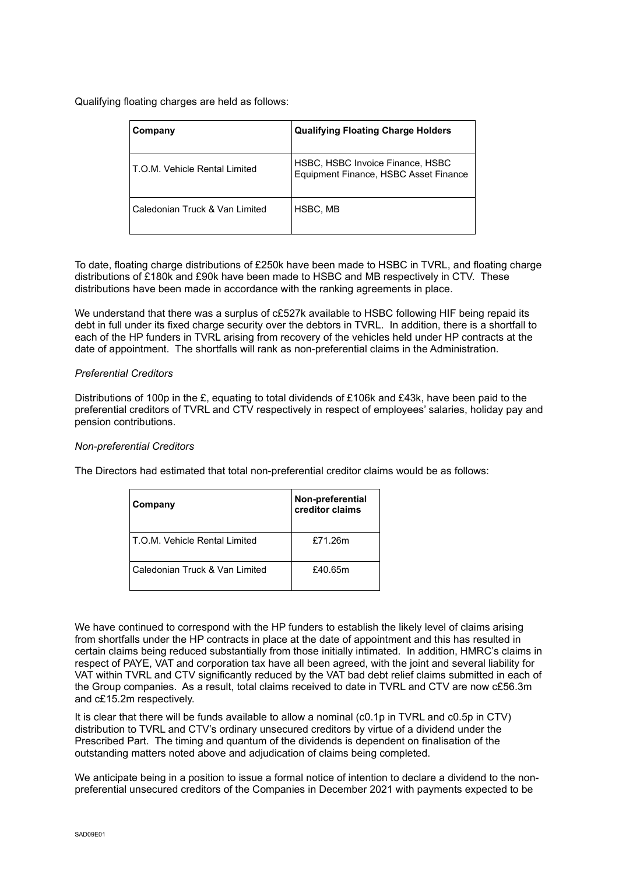Qualifying floating charges are held as follows:

| Company                        | <b>Qualifying Floating Charge Holders</b>                                 |
|--------------------------------|---------------------------------------------------------------------------|
| T.O.M. Vehicle Rental Limited  | HSBC, HSBC Invoice Finance, HSBC<br>Equipment Finance, HSBC Asset Finance |
| Caledonian Truck & Van Limited | HSBC, MB                                                                  |

To date, floating charge distributions of £250k have been made to HSBC in TVRL, and floating charge distributions of £180k and £90k have been made to HSBC and MB respectively in CTV. These distributions have been made in accordance with the ranking agreements in place.

We understand that there was a surplus of c£527k available to HSBC following HIF being repaid its debt in full under its fixed charge security over the debtors in TVRL. In addition, there is a shortfall to each of the HP funders in TVRL arising from recovery of the vehicles held under HP contracts at the date of appointment. The shortfalls will rank as non-preferential claims in the Administration.

### *Preferential Creditors*

Distributions of 100p in the £, equating to total dividends of £106k and £43k, have been paid to the preferential creditors of TVRL and CTV respectively in respect of employees' salaries, holiday pay and pension contributions.

### *Non-preferential Creditors*

The Directors had estimated that total non-preferential creditor claims would be as follows:

| Company                        | Non-preferential<br>creditor claims |
|--------------------------------|-------------------------------------|
| T.O.M. Vehicle Rental Limited  | £71.26m                             |
| Caledonian Truck & Van Limited | £40.65m                             |

We have continued to correspond with the HP funders to establish the likely level of claims arising from shortfalls under the HP contracts in place at the date of appointment and this has resulted in certain claims being reduced substantially from those initially intimated. In addition, HMRC's claims in respect of PAYE, VAT and corporation tax have all been agreed, with the joint and several liability for VAT within TVRL and CTV significantly reduced by the VAT bad debt relief claims submitted in each of the Group companies. As a result, total claims received to date in TVRL and CTV are now c£56.3m and c£15.2m respectively.

It is clear that there will be funds available to allow a nominal (c0.1p in TVRL and c0.5p in CTV) distribution to TVRL and CTV's ordinary unsecured creditors by virtue of a dividend under the Prescribed Part. The timing and quantum of the dividends is dependent on finalisation of the outstanding matters noted above and adjudication of claims being completed.

We anticipate being in a position to issue a formal notice of intention to declare a dividend to the nonpreferential unsecured creditors of the Companies in December 2021 with payments expected to be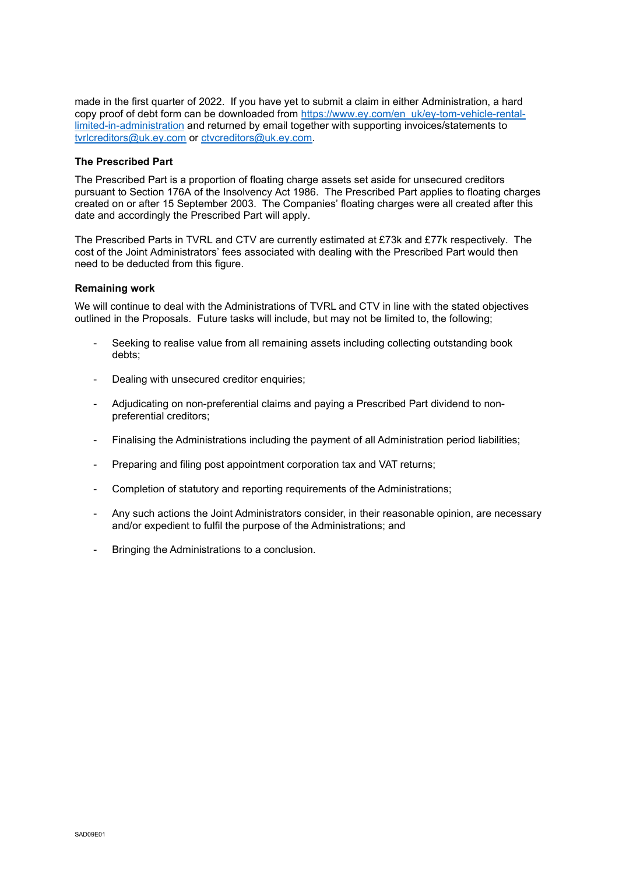made in the first quarter of 2022. If you have yet to submit a claim in either Administration, a hard copy proof of debt form can be downloaded from [https://www.ey.com/en\\_uk/ey-tom-vehicle-rental](https://www.ey.com/en_uk/ey-tom-vehicle-rental-limited-in-administration)[limited-in-administration](https://www.ey.com/en_uk/ey-tom-vehicle-rental-limited-in-administration) and returned by email together with supporting invoices/statements to [tvrlcreditors@uk.ey.com](mailto:tvrlcreditors@uk.ey.com) or [ctvcreditors@uk.ey.com.](mailto:ctvcreditors@uk.ey.com)

### **The Prescribed Part**

The Prescribed Part is a proportion of floating charge assets set aside for unsecured creditors pursuant to Section 176A of the Insolvency Act 1986. The Prescribed Part applies to floating charges created on or after 15 September 2003. The Companies' floating charges were all created after this date and accordingly the Prescribed Part will apply.

The Prescribed Parts in TVRL and CTV are currently estimated at £73k and £77k respectively. The cost of the Joint Administrators' fees associated with dealing with the Prescribed Part would then need to be deducted from this figure.

### **Remaining work**

We will continue to deal with the Administrations of TVRL and CTV in line with the stated objectives outlined in the Proposals. Future tasks will include, but may not be limited to, the following;

- Seeking to realise value from all remaining assets including collecting outstanding book debts;
- Dealing with unsecured creditor enquiries;
- Adjudicating on non-preferential claims and paying a Prescribed Part dividend to nonpreferential creditors;
- Finalising the Administrations including the payment of all Administration period liabilities;
- Preparing and filing post appointment corporation tax and VAT returns;
- Completion of statutory and reporting requirements of the Administrations;
- Any such actions the Joint Administrators consider, in their reasonable opinion, are necessary and/or expedient to fulfil the purpose of the Administrations; and
- Bringing the Administrations to a conclusion.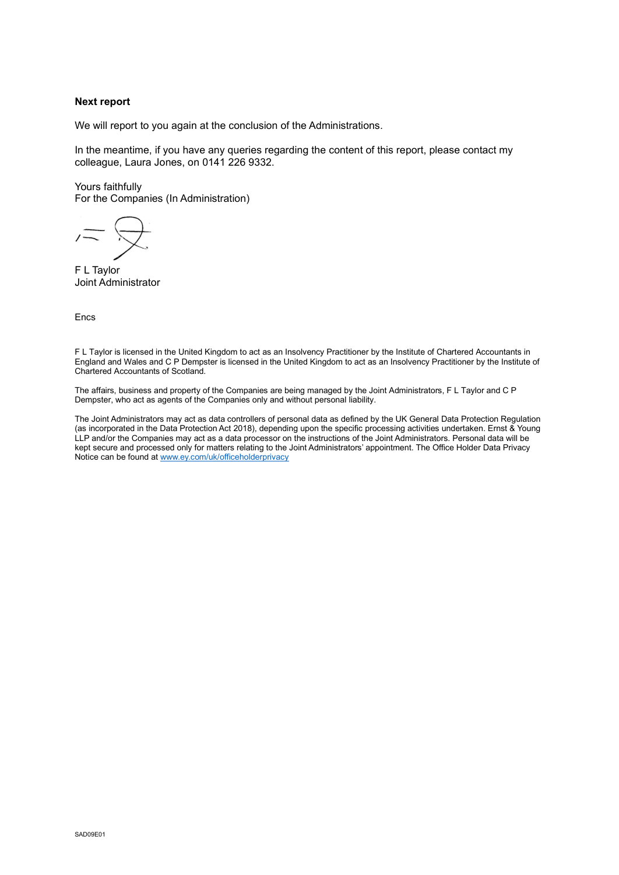### **Next report**

We will report to you again at the conclusion of the Administrations.

In the meantime, if you have any queries regarding the content of this report, please contact my colleague, Laura Jones, on 0141 226 9332.

Yours faithfully For the Companies (In Administration)

F L Taylor Joint Administrator

Encs

F L Taylor is licensed in the United Kingdom to act as an Insolvency Practitioner by the Institute of Chartered Accountants in England and Wales and C P Dempster is licensed in the United Kingdom to act as an Insolvency Practitioner by the Institute of Chartered Accountants of Scotland.

The affairs, business and property of the Companies are being managed by the Joint Administrators, F L Taylor and C P Dempster, who act as agents of the Companies only and without personal liability.

The Joint Administrators may act as data controllers of personal data as defined by the UK General Data Protection Regulation (as incorporated in the Data Protection Act 2018), depending upon the specific processing activities undertaken. Ernst & Young LLP and/or the Companies may act as a data processor on the instructions of the Joint Administrators. Personal data will be kept secure and processed only for matters relating to the Joint Administrators' appointment. The Office Holder Data Privacy Notice can be found a[t www.ey.com/uk/officeholderprivacy](http://www.ey.com/uk/officeholderprivacy)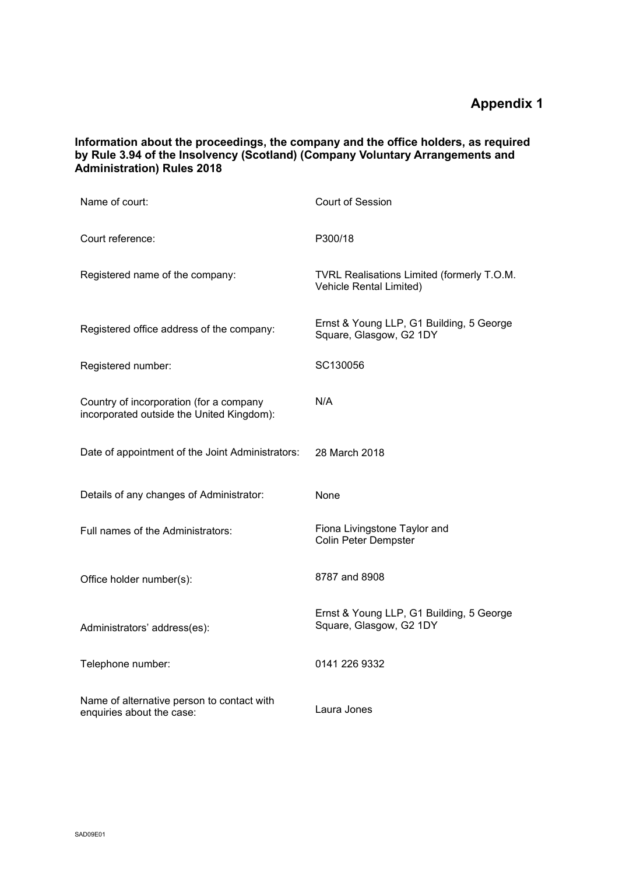**Information about the proceedings, the company and the office holders, as required by Rule 3.94 of the Insolvency (Scotland) (Company Voluntary Arrangements and Administration) Rules 2018**

| Name of court:                                                                       | Court of Session                                                      |
|--------------------------------------------------------------------------------------|-----------------------------------------------------------------------|
| Court reference:                                                                     | P300/18                                                               |
| Registered name of the company:                                                      | TVRL Realisations Limited (formerly T.O.M.<br>Vehicle Rental Limited) |
| Registered office address of the company:                                            | Ernst & Young LLP, G1 Building, 5 George<br>Square, Glasgow, G2 1DY   |
| Registered number:                                                                   | SC130056                                                              |
| Country of incorporation (for a company<br>incorporated outside the United Kingdom): | N/A                                                                   |
| Date of appointment of the Joint Administrators:                                     | 28 March 2018                                                         |
| Details of any changes of Administrator:                                             | None                                                                  |
| Full names of the Administrators:                                                    | Fiona Livingstone Taylor and<br>Colin Peter Dempster                  |
| Office holder number(s):                                                             | 8787 and 8908                                                         |
| Administrators' address(es):                                                         | Ernst & Young LLP, G1 Building, 5 George<br>Square, Glasgow, G2 1DY   |
| Telephone number:                                                                    | 0141 226 9332                                                         |
| Name of alternative person to contact with<br>enquiries about the case:              | Laura Jones                                                           |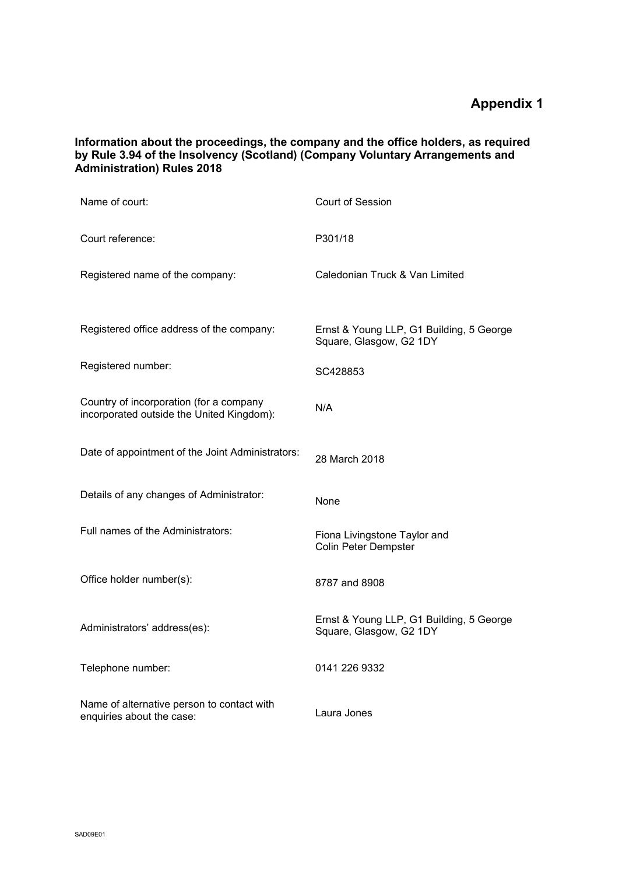**Information about the proceedings, the company and the office holders, as required by Rule 3.94 of the Insolvency (Scotland) (Company Voluntary Arrangements and Administration) Rules 2018**

| Name of court:                                                                       | Court of Session                                                    |
|--------------------------------------------------------------------------------------|---------------------------------------------------------------------|
| Court reference:                                                                     | P301/18                                                             |
| Registered name of the company:                                                      | Caledonian Truck & Van Limited                                      |
|                                                                                      |                                                                     |
| Registered office address of the company:                                            | Ernst & Young LLP, G1 Building, 5 George<br>Square, Glasgow, G2 1DY |
| Registered number:                                                                   | SC428853                                                            |
| Country of incorporation (for a company<br>incorporated outside the United Kingdom): | N/A                                                                 |
| Date of appointment of the Joint Administrators:                                     | 28 March 2018                                                       |
| Details of any changes of Administrator:                                             | None                                                                |
| Full names of the Administrators:                                                    | Fiona Livingstone Taylor and<br><b>Colin Peter Dempster</b>         |
| Office holder number(s):                                                             | 8787 and 8908                                                       |
| Administrators' address(es):                                                         | Ernst & Young LLP, G1 Building, 5 George<br>Square, Glasgow, G2 1DY |
| Telephone number:                                                                    | 0141 226 9332                                                       |
| Name of alternative person to contact with<br>enquiries about the case:              | Laura Jones                                                         |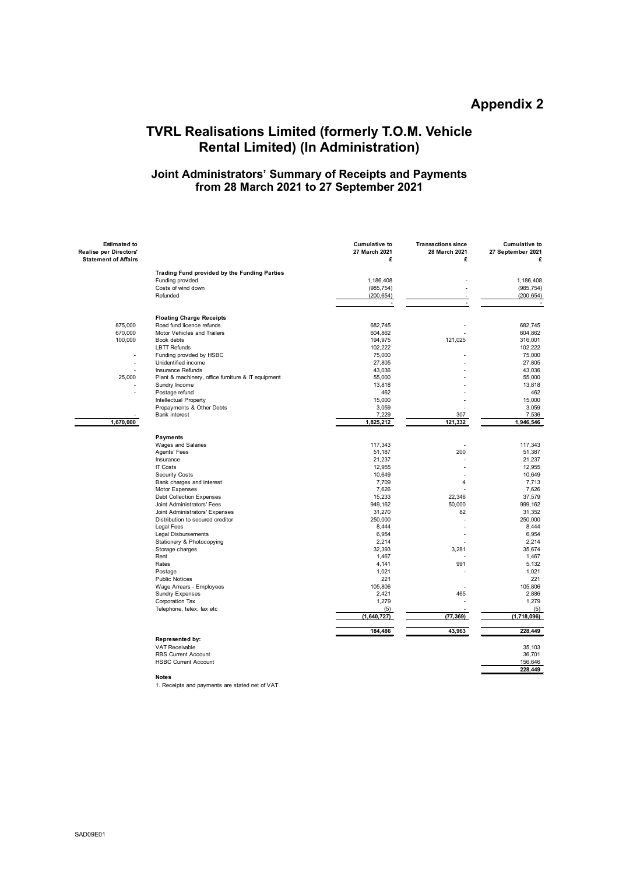## **TVRL Realisations Limited (formerly T.O.M. Vehicle Rental Limited) (In Administration)**

### **Joint Administrators' Summary of Receipts and Payments from 28 March 2021 to 27 September 2021**

| <b>Estimated to</b><br>Realise per Directors'<br><b>Statement of Affairs</b> |                                                    | <b>Cumulative to</b><br>27 March 2021<br>£ | <b>Transactions since</b><br>28 March 2021<br>£ | <b>Cumulative to</b><br>27 September 2021<br>£ |
|------------------------------------------------------------------------------|----------------------------------------------------|--------------------------------------------|-------------------------------------------------|------------------------------------------------|
|                                                                              |                                                    |                                            |                                                 |                                                |
|                                                                              | Trading Fund provided by the Funding Parties       |                                            |                                                 |                                                |
|                                                                              | Funding provided                                   | 1,186,408                                  |                                                 | 1,186,408                                      |
|                                                                              | Costs of wind down                                 | (985, 754)                                 |                                                 | (985, 754)                                     |
|                                                                              | Refunded                                           | (200, 654)                                 |                                                 | (200, 654)                                     |
|                                                                              |                                                    | $\overline{a}$                             |                                                 |                                                |
|                                                                              | <b>Floating Charge Receipts</b>                    |                                            |                                                 |                                                |
| 875,000                                                                      | Road fund licence refunds                          | 682,745                                    |                                                 | 682,745                                        |
| 670,000                                                                      | Motor Vehicles and Trailers                        | 604,862                                    |                                                 | 604.862                                        |
| 100,000                                                                      | Book debts                                         | 194,975                                    | 121,025                                         | 316,001                                        |
|                                                                              | <b>LBTT Refunds</b>                                | 102,222                                    |                                                 | 102,222                                        |
|                                                                              | Funding provided by HSBC                           | 75,000                                     |                                                 | 75,000                                         |
| $\overline{a}$                                                               | Unidentified income                                | 27,805                                     |                                                 | 27,805                                         |
|                                                                              | <b>Insurance Refunds</b>                           | 43,036                                     |                                                 | 43,036                                         |
| 25,000                                                                       | Plant & machinery, office furniture & IT equipment | 55,000                                     |                                                 | 55,000                                         |
|                                                                              | Sundry Income                                      | 13,818                                     |                                                 | 13,818                                         |
|                                                                              | Postage refund                                     | 462                                        |                                                 | 462                                            |
|                                                                              | Intellectual Property                              | 15,000                                     |                                                 | 15,000                                         |
|                                                                              | Prepayments & Other Debts                          | 3,059                                      |                                                 | 3,059                                          |
|                                                                              | <b>Bank interest</b>                               | 7,229                                      | 307                                             | 7,536                                          |
| 1,670,000                                                                    |                                                    | 1,825,212                                  | 121,332                                         | 1,946,546                                      |
|                                                                              |                                                    |                                            |                                                 |                                                |
|                                                                              | <b>Payments</b>                                    |                                            |                                                 |                                                |
|                                                                              | Wages and Salaries                                 | 117,343                                    |                                                 | 117.343                                        |
|                                                                              | Agents' Fees                                       | 51,187                                     | 200                                             | 51,387                                         |
|                                                                              | Insurance                                          | 21,237                                     |                                                 | 21,237                                         |
|                                                                              | <b>IT Costs</b>                                    | 12,955                                     |                                                 | 12,955                                         |
|                                                                              | Security Costs                                     | 10,649                                     |                                                 | 10,649                                         |
|                                                                              | Bank charges and interest                          | 7,709                                      | $\overline{\mathbf{4}}$                         | 7,713                                          |
|                                                                              | Motor Expenses                                     | 7,626                                      |                                                 | 7,626                                          |
|                                                                              | <b>Debt Collection Expenses</b>                    | 15,233                                     | 22,346                                          | 37,579                                         |
|                                                                              | Joint Administrators' Fees                         | 949,162                                    | 50,000                                          | 999.162                                        |
|                                                                              | Joint Administrators' Expenses                     | 31,270                                     | 82                                              | 31,352                                         |
|                                                                              | Distribution to secured creditor                   | 250,000                                    | $\overline{a}$                                  | 250,000                                        |
|                                                                              | <b>Legal Fees</b>                                  | 8,444                                      |                                                 | 8,444                                          |
|                                                                              | Legal Disbursements                                | 6,954                                      |                                                 | 6,954                                          |
|                                                                              | Stationery & Photocopying                          | 2,214                                      |                                                 | 2.214                                          |
|                                                                              | Storage charges                                    | 32,393                                     | 3,281                                           | 35,674                                         |
|                                                                              | Rent                                               | 1,467                                      |                                                 | 1,467                                          |
|                                                                              | Rates                                              | 4,141                                      | 991                                             | 5,132                                          |
|                                                                              | Postage                                            | 1,021                                      |                                                 | 1,021                                          |
|                                                                              | <b>Public Notices</b>                              | 221                                        |                                                 | 221                                            |
|                                                                              | Wage Arrears - Employees                           | 105,806                                    |                                                 | 105,806                                        |
|                                                                              | <b>Sundry Expenses</b>                             | 2,421                                      | 465                                             | 2,886                                          |
|                                                                              | Corporation Tax                                    | 1,279                                      |                                                 | 1,279                                          |
|                                                                              | Telephone, telex, fax etc                          | (5)                                        |                                                 | (5)<br>(1,718,096)                             |
|                                                                              |                                                    | (1,640,727)                                | (77, 369)                                       |                                                |
|                                                                              |                                                    | 184,486                                    | 43,963                                          | 228,449                                        |
|                                                                              | Represented by:                                    |                                            |                                                 |                                                |
|                                                                              | <b>VAT Receivable</b>                              |                                            |                                                 | 35,103                                         |
|                                                                              | <b>RBS Current Account</b>                         |                                            |                                                 | 36,701                                         |
|                                                                              | <b>HSBC Current Account</b>                        |                                            |                                                 | 156,646                                        |
|                                                                              |                                                    |                                            |                                                 | 228,449                                        |

**Notes**

1. Receipts and payments are stated net of VAT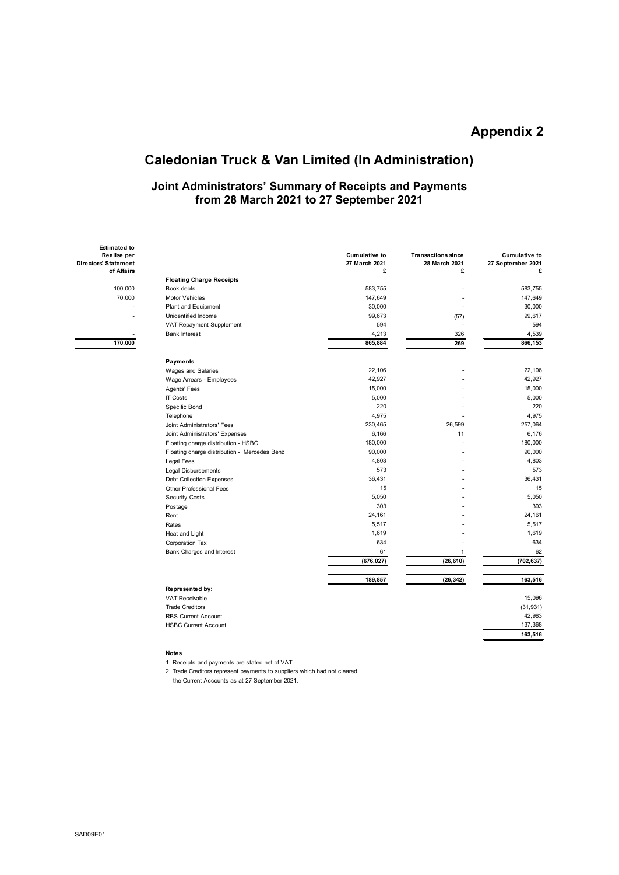# **Caledonian Truck & Van Limited (In Administration)**

### **Joint Administrators' Summary of Receipts and Payments from 28 March 2021 to 27 September 2021**

| lise per<br>tement |                                              | <b>Cumulative to</b><br>27 March 2021 | <b>Transactions since</b><br>28 March 2021 | <b>Cumulative to</b><br>27 September 2021 |
|--------------------|----------------------------------------------|---------------------------------------|--------------------------------------------|-------------------------------------------|
| <b>Affairs</b>     |                                              | £                                     | £                                          | ç                                         |
|                    | <b>Floating Charge Receipts</b>              |                                       |                                            |                                           |
| 100,000            | Book debts                                   | 583,755                               |                                            | 583,755                                   |
| 70,000             | <b>Motor Vehicles</b>                        | 147,649                               |                                            | 147,649                                   |
|                    | Plant and Equipment                          | 30,000                                |                                            | 30,000                                    |
|                    | Unidentified Income                          | 99,673                                | (57)                                       | 99,617                                    |
|                    | VAT Repayment Supplement                     | 594                                   |                                            | 594                                       |
|                    | <b>Bank Interest</b>                         | 4,213                                 | 326                                        | 4,539                                     |
| 170,000            |                                              | 865,884                               | 269                                        | 866,153                                   |
|                    | Payments                                     |                                       |                                            |                                           |
|                    | Wages and Salaries                           | 22,106                                |                                            | 22,106                                    |
|                    | Wage Arrears - Employees                     | 42,927                                |                                            | 42,927                                    |
|                    | Agents' Fees                                 | 15,000                                |                                            | 15,000                                    |
|                    | <b>IT Costs</b>                              | 5,000                                 |                                            | 5,000                                     |
|                    | Specific Bond                                | 220                                   |                                            | 220                                       |
|                    | Telephone                                    | 4,975                                 |                                            | 4,975                                     |
|                    | Joint Administrators' Fees                   | 230,465                               | 26,599                                     | 257,064                                   |
|                    | Joint Administrators' Expenses               | 6,166                                 | 11                                         | 6,176                                     |
|                    | Floating charge distribution - HSBC          | 180,000                               |                                            | 180,000                                   |
|                    | Floating charge distribution - Mercedes Benz | 90,000                                |                                            | 90,000                                    |
|                    | Legal Fees                                   | 4,803                                 |                                            | 4,803                                     |
|                    | Legal Disbursements                          | 573                                   |                                            | 573                                       |
|                    | <b>Debt Collection Expenses</b>              | 36,431                                |                                            | 36,431                                    |
|                    | Other Professional Fees                      | 15                                    |                                            | 15                                        |
|                    | <b>Security Costs</b>                        | 5,050                                 |                                            | 5,050                                     |
|                    | Postage                                      | 303                                   |                                            | 303                                       |
|                    | Rent                                         | 24,161                                |                                            | 24,161                                    |
|                    | Rates                                        | 5,517                                 |                                            | 5,517                                     |
|                    | Heat and Light                               | 1,619                                 |                                            | 1,619                                     |
|                    | Corporation Tax                              | 634                                   |                                            | 634                                       |
|                    | Bank Charges and Interest                    | 61                                    | 1                                          | 62                                        |
|                    |                                              | (676, 027)                            | (26, 610)                                  | (702, 637)                                |
|                    |                                              | 189,857                               | (26, 342)                                  | 163,516                                   |
|                    | Represented by:                              |                                       |                                            |                                           |
|                    | <b>VAT Receivable</b>                        |                                       |                                            | 15,096                                    |
|                    | <b>Trade Creditors</b>                       |                                       |                                            | (31, 931)                                 |
|                    | <b>RBS Current Account</b>                   |                                       |                                            | 42,983                                    |
|                    | <b>HSBC Current Account</b>                  |                                       |                                            | 137,368                                   |
|                    |                                              |                                       |                                            | 163,516                                   |
|                    |                                              |                                       |                                            |                                           |

#### **Notes**

1. Receipts and payments are stated net of VAT.

2. Trade Creditors represent payments to suppliers which had not cleared the Current Accounts as at 27 September 2021.

 **Estimated to Realise per Directors' Statement of Affairs**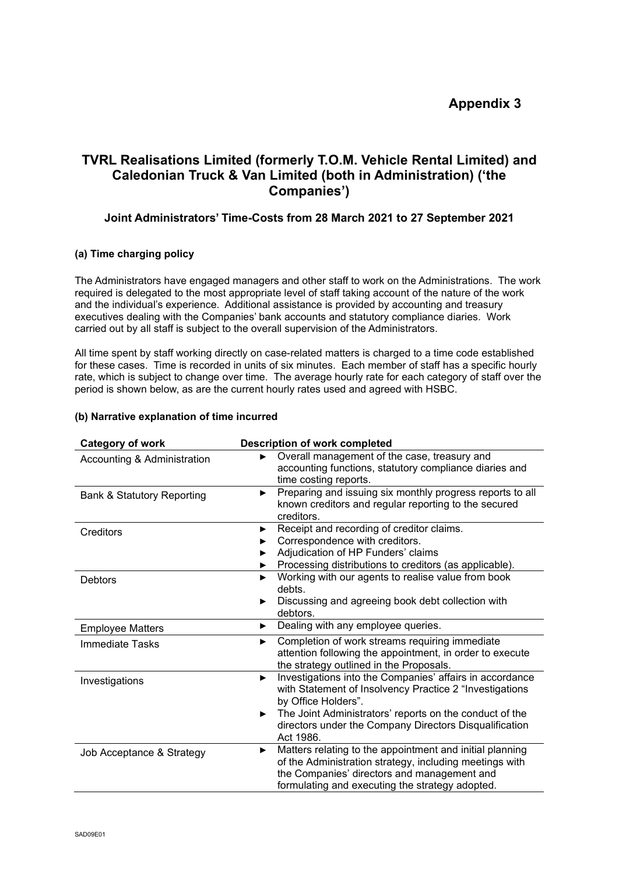# **TVRL Realisations Limited (formerly T.O.M. Vehicle Rental Limited) and Caledonian Truck & Van Limited (both in Administration) ('the Companies')**

### **Joint Administrators' Time-Costs from 28 March 2021 to 27 September 2021**

### **(a) Time charging policy**

The Administrators have engaged managers and other staff to work on the Administrations. The work required is delegated to the most appropriate level of staff taking account of the nature of the work and the individual's experience. Additional assistance is provided by accounting and treasury executives dealing with the Companies' bank accounts and statutory compliance diaries. Work carried out by all staff is subject to the overall supervision of the Administrators.

All time spent by staff working directly on case-related matters is charged to a time code established for these cases. Time is recorded in units of six minutes. Each member of staff has a specific hourly rate, which is subject to change over time. The average hourly rate for each category of staff over the period is shown below, as are the current hourly rates used and agreed with HSBC.

### **(b) Narrative explanation of time incurred**

| <b>Category of work</b>               | <b>Description of work completed</b>                                                                                                                                                                                                                                                   |
|---------------------------------------|----------------------------------------------------------------------------------------------------------------------------------------------------------------------------------------------------------------------------------------------------------------------------------------|
| Accounting & Administration           | Overall management of the case, treasury and<br>accounting functions, statutory compliance diaries and<br>time costing reports.                                                                                                                                                        |
| <b>Bank &amp; Statutory Reporting</b> | Preparing and issuing six monthly progress reports to all<br>▶<br>known creditors and regular reporting to the secured<br>creditors.                                                                                                                                                   |
| Creditors                             | Receipt and recording of creditor claims.<br>▶<br>Correspondence with creditors.<br>Adjudication of HP Funders' claims<br>Processing distributions to creditors (as applicable).                                                                                                       |
| Debtors                               | Working with our agents to realise value from book<br>▶<br>debts.<br>Discussing and agreeing book debt collection with<br>debtors.                                                                                                                                                     |
| <b>Employee Matters</b>               | Dealing with any employee queries.<br>▶                                                                                                                                                                                                                                                |
| Immediate Tasks                       | Completion of work streams requiring immediate<br>▶<br>attention following the appointment, in order to execute<br>the strategy outlined in the Proposals.                                                                                                                             |
| Investigations                        | Investigations into the Companies' affairs in accordance<br>▶<br>with Statement of Insolvency Practice 2 "Investigations<br>by Office Holders".<br>The Joint Administrators' reports on the conduct of the<br>▶<br>directors under the Company Directors Disqualification<br>Act 1986. |
| Job Acceptance & Strategy             | Matters relating to the appointment and initial planning<br>▶<br>of the Administration strategy, including meetings with<br>the Companies' directors and management and<br>formulating and executing the strategy adopted.                                                             |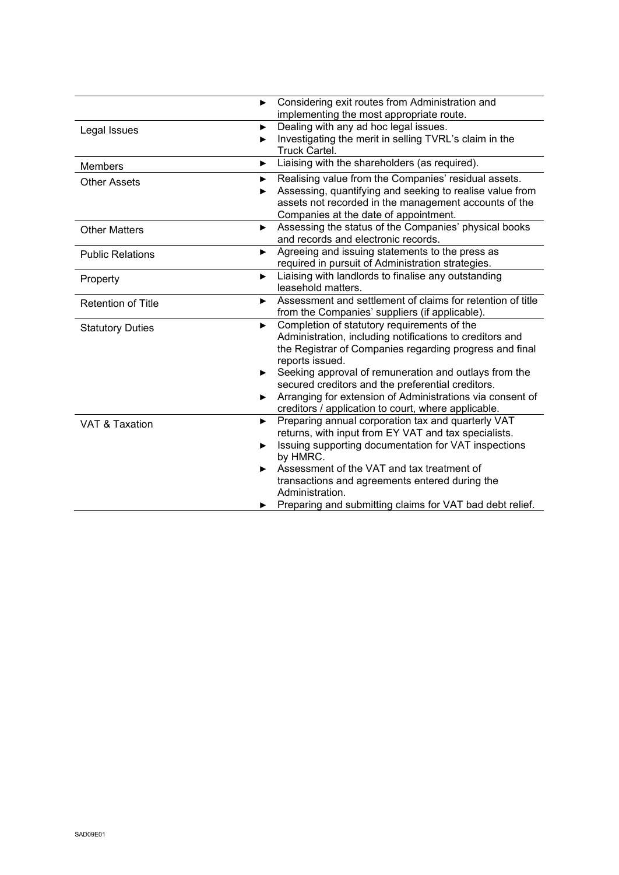|                           | ▶                     | Considering exit routes from Administration and<br>implementing the most appropriate route. |
|---------------------------|-----------------------|---------------------------------------------------------------------------------------------|
| Legal Issues              | $\blacktriangleright$ | Dealing with any ad hoc legal issues.                                                       |
|                           | ▶                     | Investigating the merit in selling TVRL's claim in the<br>Truck Cartel.                     |
| <b>Members</b>            | ▶                     | Liaising with the shareholders (as required).                                               |
| <b>Other Assets</b>       | ▶                     | Realising value from the Companies' residual assets.                                        |
|                           | ▶                     | Assessing, quantifying and seeking to realise value from                                    |
|                           |                       | assets not recorded in the management accounts of the                                       |
|                           |                       | Companies at the date of appointment.                                                       |
| <b>Other Matters</b>      | ▶                     | Assessing the status of the Companies' physical books                                       |
|                           |                       | and records and electronic records.                                                         |
| <b>Public Relations</b>   | ▶                     | Agreeing and issuing statements to the press as                                             |
|                           |                       | required in pursuit of Administration strategies.                                           |
| Property                  | ▶                     | Liaising with landlords to finalise any outstanding<br>leasehold matters.                   |
|                           |                       | Assessment and settlement of claims for retention of title                                  |
| <b>Retention of Title</b> | ▶                     | from the Companies' suppliers (if applicable).                                              |
|                           | ▶                     | Completion of statutory requirements of the                                                 |
| <b>Statutory Duties</b>   |                       | Administration, including notifications to creditors and                                    |
|                           |                       | the Registrar of Companies regarding progress and final                                     |
|                           |                       | reports issued.                                                                             |
|                           | ▶                     | Seeking approval of remuneration and outlays from the                                       |
|                           |                       | secured creditors and the preferential creditors.                                           |
|                           | ▶                     | Arranging for extension of Administrations via consent of                                   |
|                           |                       | creditors / application to court, where applicable.                                         |
| VAT & Taxation            | ▶                     | Preparing annual corporation tax and quarterly VAT                                          |
|                           |                       | returns, with input from EY VAT and tax specialists.                                        |
|                           | ▶                     | Issuing supporting documentation for VAT inspections<br>by HMRC.                            |
|                           | ▶                     | Assessment of the VAT and tax treatment of                                                  |
|                           |                       | transactions and agreements entered during the                                              |
|                           |                       | Administration.                                                                             |
|                           |                       | Preparing and submitting claims for VAT bad debt relief.                                    |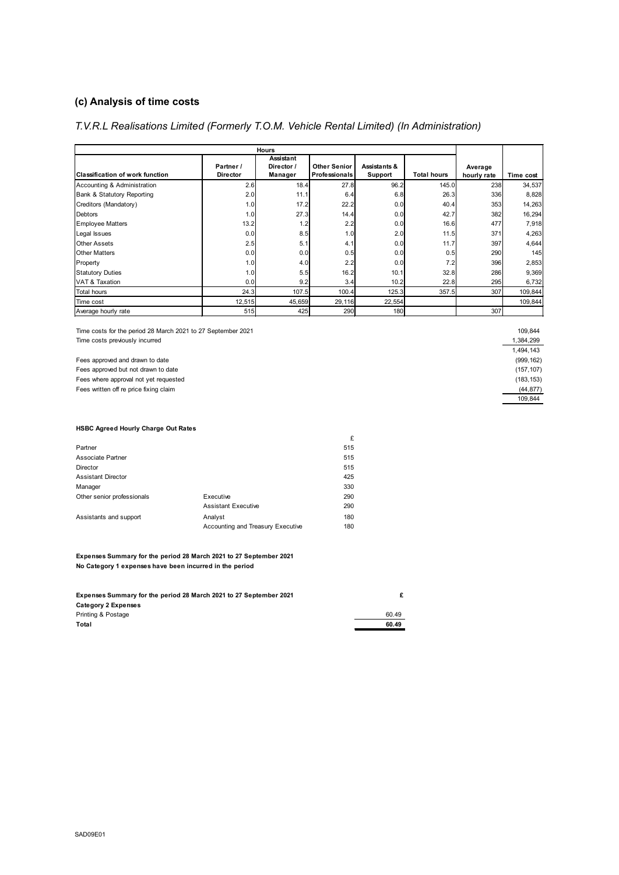### **(c) Analysis of time costs**

### *T.V.R.L Realisations Limited (Formerly T.O.M. Vehicle Rental Limited) (In Administration)*

| <b>Hours</b>                           |                 |            |                     |              |             |             |           |
|----------------------------------------|-----------------|------------|---------------------|--------------|-------------|-------------|-----------|
|                                        |                 | Assistant  |                     |              |             |             |           |
|                                        | Partner /       | Director / | <b>Other Senior</b> | Assistants & |             | Average     |           |
| <b>Classification of work function</b> | <b>Director</b> | Manager    | Professionals       | Support      | Total hours | hourly rate | Time cost |
| Accounting & Administration            | 2.6             | 18.4       | 27.8                | 96.2         | 145.0       | 238         | 34,537    |
| Bank & Statutory Reporting             | 2.0             | 11.1       | 6.4                 | 6.8          | 26.3        | 336         | 8,828     |
| Creditors (Mandatory)                  | 1.0             | 17.2       | 22.2                | 0.0          | 40.4        | 353         | 14,263    |
| <b>Debtors</b>                         | 1.0             | 27.3       | 14.4                | 0.0          | 42.7        | 382         | 16,294    |
| <b>Employee Matters</b>                | 13.2            | 1.2        | 2.2                 | 0.0          | 16.6        | 477         | 7,918     |
| Legal Issues                           | 0.0             | 8.5        | 1.0                 | 2.0          | 11.5        | 371         | 4,263     |
| <b>Other Assets</b>                    | 2.5             | 5.1        | 4.1                 | 0.0          | 11.7        | 397         | 4,644     |
| <b>Other Matters</b>                   | 0.0             | 0.0        | 0.5                 | 0.0          | 0.5         | 290         | 145       |
| Property                               | 1.0             | 4.0        | 2.2                 | 0.0          | 7.2         | 396         | 2,853     |
| <b>Statutory Duties</b>                | 1.0             | 5.5        | 16.2                | 10.1         | 32.8        | 286         | 9,369     |
| <b>VAT &amp; Taxation</b>              | 0.0             | 9.2        | 3.4                 | 10.2         | 22.8        | 295         | 6,732     |
| <b>Total hours</b>                     | 24.3            | 107.5      | 100.4               | 125.3        | 357.5       | 307         | 109,844   |
| Time cost                              | 12,515          | 45,659     | 29,116              | 22,554       |             |             | 109,844   |
| Average hourly rate                    | 515             | 425        | 290                 | 180          |             | 307         |           |

Time costs for the period 28 March 2021 to 27 September 2021 **109,844** 109,844 Time costs previously incurred the costs of the costs of the costs previously incurred the costs previously incurred the costs of the costs of the costs of the costs of the costs of the costs of the costs of the costs of t

Fees approved and drawn to date (999,162)<br>
Fees approved but not drawn to date (157,107) Fees approved but not drawn to date Fees where approval not yet requested (183,153) (183,153)  $(44.877)$ Fees written off re price fixing claim

 1,494,143 109,844

#### **HSBC Agreed Hourly Charge Out Rates**

|                            |                                   | £   |
|----------------------------|-----------------------------------|-----|
| Partner                    |                                   | 515 |
| Associate Partner          |                                   | 515 |
| Director                   |                                   | 515 |
| <b>Assistant Director</b>  |                                   | 425 |
| Manager                    |                                   | 330 |
| Other senior professionals | Executive                         | 290 |
|                            | <b>Assistant Executive</b>        | 290 |
| Assistants and support     | Analyst                           | 180 |
|                            | Accounting and Treasury Executive | 180 |
|                            |                                   |     |

**Expenses Summary for the period 28 March 2021 to 27 September 2021 No Category 1 expenses have been incurred in the period**

| Expenses Summary for the period 28 March 2021 to 27 September 2021 |       |
|--------------------------------------------------------------------|-------|
| Category 2 Expenses                                                |       |
| Printing & Postage                                                 | 60.49 |
| Total                                                              | 60.49 |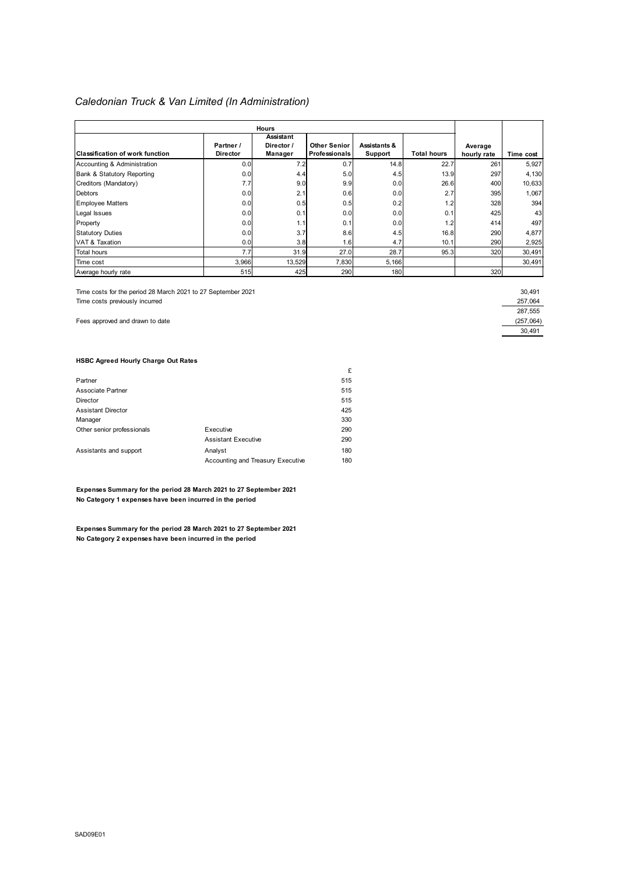### *Caledonian Truck & Van Limited (In Administration)*

| <b>Hours</b>                    |                              |                                    |                                             |                         |             |                        |           |
|---------------------------------|------------------------------|------------------------------------|---------------------------------------------|-------------------------|-------------|------------------------|-----------|
| Classification of work function | Partner /<br><b>Director</b> | Assistant<br>Director /<br>Manager | <b>Other Senior</b><br><b>Professionals</b> | Assistants &<br>Support | Total hours | Average<br>hourly rate | Time cost |
| Accounting & Administration     | 0.0                          | 7.2                                | 0.7                                         | 14.8                    | 22.7        | 261                    | 5,927     |
| Bank & Statutory Reporting      | 0.0                          | 4.4                                | 5.0                                         | 4.5                     | 13.9        | 297                    | 4,130     |
| Creditors (Mandatory)           | 7.7                          | 9.0                                | 9.9                                         | 0.0                     | 26.6        | 400                    | 10,633    |
| <b>Debtors</b>                  | 0.0                          | 2.1                                | 0.6                                         | 0.0                     | 2.7         | 395                    | 1,067     |
| <b>Employee Matters</b>         | 0.0                          | 0.5                                | 0.5                                         | 0.2                     | 1.2         | 328                    | 394       |
| Legal Issues                    | 0.0                          | 0.1                                | 0.0                                         | 0.0                     | 0.1         | 425                    | 43        |
| Property                        | 0.0                          | 1.1                                | 0.1                                         | 0.0                     | 1.2         | 414                    | 497       |
| <b>Statutory Duties</b>         | 0.0                          | 3.7                                | 8.6                                         | 4.5                     | 16.8        | 290                    | 4,877     |
| VAT & Taxation                  | 0.0                          | 3.8                                | 1.6                                         | 4.7                     | 10.1        | 290                    | 2,925     |
| <b>Total hours</b>              | 7.7                          | 31.9                               | 27.0                                        | 28.7                    | 95.3        | 320                    | 30,491    |
| Time cost                       | 3,966                        | 13,529                             | 7,830                                       | 5,166                   |             |                        | 30,491    |
| Average hourly rate             | 515                          | 425                                | 290                                         | 180                     |             | 320                    |           |

Time costs for the period 28 March 2021 to 27 September 2021

Time costs previously incurred

Fees approved and drawn to date

| 30.491    |  |
|-----------|--|
| 257,064   |  |
| 287.555   |  |
| (257,064) |  |
| 30.491    |  |
|           |  |

### **HSBC Agreed Hourly Charge Out Rates**

| 515 |
|-----|
|     |
| 515 |
| 515 |
| 425 |
| 330 |
| 290 |
| 290 |
| 180 |
| 180 |
|     |

**Expenses Summary for the period 28 March 2021 to 27 September 2021 No Category 1 expenses have been incurred in the period**

**Expenses Summary for the period 28 March 2021 to 27 September 2021 No Category 2 expenses have been incurred in the period**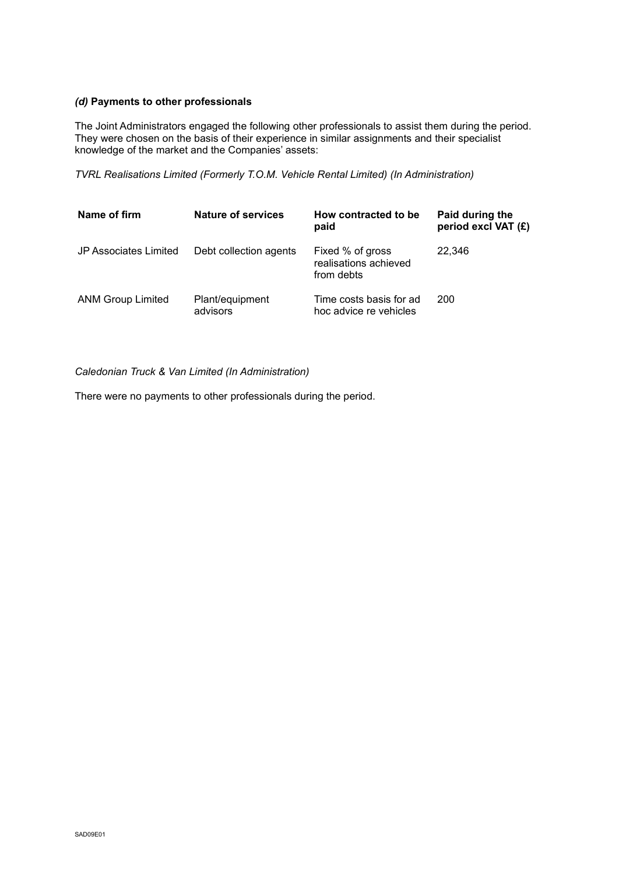### *(d)* **Payments to other professionals**

The Joint Administrators engaged the following other professionals to assist them during the period. They were chosen on the basis of their experience in similar assignments and their specialist knowledge of the market and the Companies' assets:

*TVRL Realisations Limited (Formerly T.O.M. Vehicle Rental Limited) (In Administration)*

| Name of firm             | Nature of services          | How contracted to be<br>paid                            | Paid during the<br>period excl VAT (£) |
|--------------------------|-----------------------------|---------------------------------------------------------|----------------------------------------|
| JP Associates Limited    | Debt collection agents      | Fixed % of gross<br>realisations achieved<br>from debts | 22.346                                 |
| <b>ANM Group Limited</b> | Plant/equipment<br>advisors | Time costs basis for ad<br>hoc advice re vehicles       | 200                                    |

*Caledonian Truck & Van Limited (In Administration)*

There were no payments to other professionals during the period.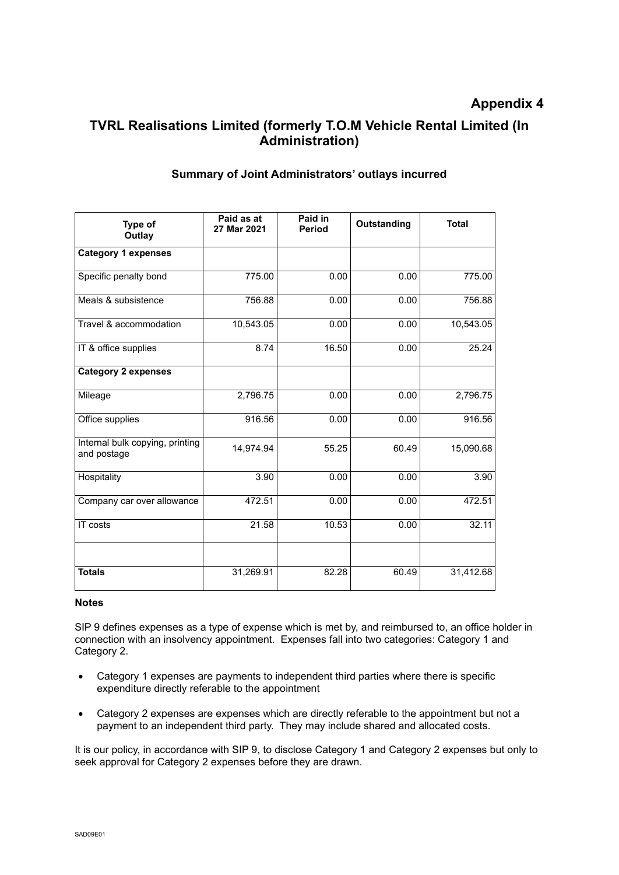# **TVRL Realisations Limited (formerly T.O.M Vehicle Rental Limited (In Administration)**

| Type of<br>Outlay                              | Paid as at<br>27 Mar 2021 | Paid in<br><b>Period</b> | Outstanding | <b>Total</b> |
|------------------------------------------------|---------------------------|--------------------------|-------------|--------------|
| <b>Category 1 expenses</b>                     |                           |                          |             |              |
| Specific penalty bond                          | 775.00                    | 0.00                     | 0.00        | 775.00       |
| Meals & subsistence                            | 756.88                    | 0.00                     | 0.00        | 756.88       |
| Travel & accommodation                         | 10,543.05                 | 0.00                     | 0.00        | 10,543.05    |
| IT & office supplies                           | 8.74                      | 16.50                    | 0.00        | 25.24        |
| <b>Category 2 expenses</b>                     |                           |                          |             |              |
| Mileage                                        | 2,796.75                  | 0.00                     | 0.00        | 2,796.75     |
| Office supplies                                | 916.56                    | 0.00                     | 0.00        | 916.56       |
| Internal bulk copying, printing<br>and postage | 14,974.94                 | 55.25                    | 60.49       | 15,090.68    |
| Hospitality                                    | 3.90                      | 0.00                     | 0.00        | 3.90         |
| Company car over allowance                     | 472.51                    | 0.00                     | 0.00        | 472.51       |
| IT costs                                       | 21.58                     | 10.53                    | 0.00        | 32.11        |
|                                                |                           |                          |             |              |
| <b>Totals</b>                                  | 31,269.91                 | 82.28                    | 60.49       | 31,412.68    |

### **Summary of Joint Administrators' outlays incurred**

### **Notes**

SIP 9 defines expenses as a type of expense which is met by, and reimbursed to, an office holder in connection with an insolvency appointment. Expenses fall into two categories: Category 1 and Category 2.

- Category 1 expenses are payments to independent third parties where there is specific expenditure directly referable to the appointment
- Category 2 expenses are expenses which are directly referable to the appointment but not a payment to an independent third party. They may include shared and allocated costs.

It is our policy, in accordance with SIP 9, to disclose Category 1 and Category 2 expenses but only to seek approval for Category 2 expenses before they are drawn.